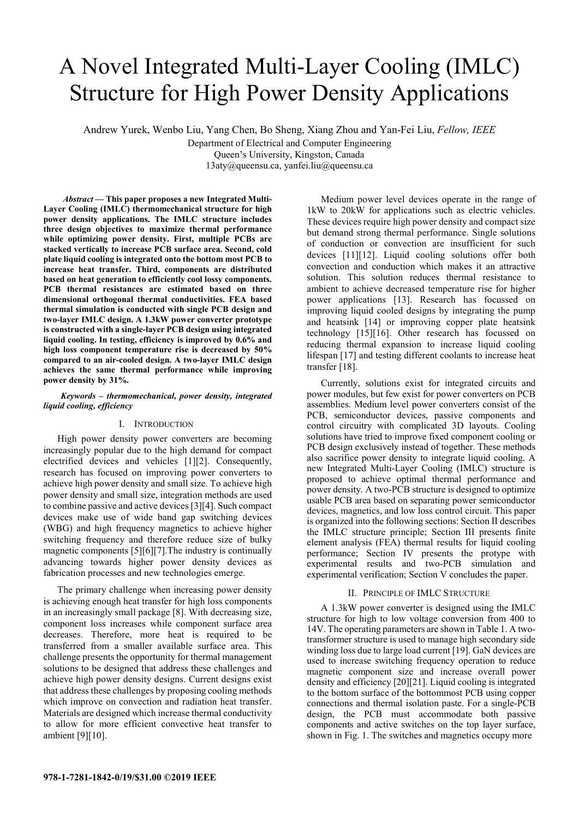# A Novel Integrated Multi-Layer Cooling (IMLC) Structure for High Power Density Applications

Andrew Yurek, Wenbo Liu, Yang Chen, Bo Sheng, Xiang Zhou and Yan-Fei Liu, *Fellow, IEEE*

Department of Electrical and Computer Engineering Queen's University, Kingston, Canada

13aty@queensu.ca, yanfei.liu@queensu.ca

 *Abstract* **— This paper proposes a new Integrated Multi-Layer Cooling (IMLC) thermomechanical structure for high power density applications. The IMLC structure includes three design objectives to maximize thermal performance while optimizing power density. First, multiple PCBs are stacked vertically to increase PCB surface area. Second, cold plate liquid cooling is integrated onto the bottom most PCB to increase heat transfer. Third, components are distributed based on heat generation to efficiently cool lossy components. PCB thermal resistances are estimated based on three dimensional orthogonal thermal conductivities. FEA based thermal simulation is conducted with single PCB design and two-layer IMLC design. A 1.3kW power converter prototype is constructed with a single-layer PCB design using integrated liquid cooling. In testing, efficiency is improved by 0.6% and high loss component temperature rise is decreased by 50% compared to an air-cooled design. A two-layer IMLC design achieves the same thermal performance while improving power density by 31%.** 

## *Keywords – thermomechanical, power density, integrated liquid cooling, efficiency*

## I. INTRODUCTION

High power density power converters are becoming increasingly popular due to the high demand for compact electrified devices and vehicles [1][2]. Consequently, research has focused on improving power converters to achieve high power density and small size. To achieve high power density and small size, integration methods are used to combine passive and active devices [3][4]. Such compact devices make use of wide band gap switching devices (WBG) and high frequency magnetics to achieve higher switching frequency and therefore reduce size of bulky magnetic components [5][6][7].The industry is continually advancing towards higher power density devices as fabrication processes and new technologies emerge.

The primary challenge when increasing power density is achieving enough heat transfer for high loss components in an increasingly small package [8]. With decreasing size, component loss increases while component surface area decreases. Therefore, more heat is required to be transferred from a smaller available surface area. This challenge presents the opportunity for thermal management solutions to be designed that address these challenges and achieve high power density designs. Current designs exist that address these challenges by proposing cooling methods which improve on convection and radiation heat transfer. Materials are designed which increase thermal conductivity to allow for more efficient convective heat transfer to ambient [9][10].

Medium power level devices operate in the range of 1kW to 20kW for applications such as electric vehicles. These devices require high power density and compact size but demand strong thermal performance. Single solutions of conduction or convection are insufficient for such devices [11][12]. Liquid cooling solutions offer both convection and conduction which makes it an attractive solution. This solution reduces thermal resistance to ambient to achieve decreased temperature rise for higher power applications [13]. Research has focussed on improving liquid cooled designs by integrating the pump and heatsink [14] or improving copper plate heatsink technology [15][16]. Other research has focussed on reducing thermal expansion to increase liquid cooling lifespan [17] and testing different coolants to increase heat transfer [18].

Currently, solutions exist for integrated circuits and power modules, but few exist for power converters on PCB assemblies. Medium level power converters consist of the PCB, semiconductor devices, passive components and control circuitry with complicated 3D layouts. Cooling solutions have tried to improve fixed component cooling or PCB design exclusively instead of together. These methods also sacrifice power density to integrate liquid cooling. A new Integrated Multi-Layer Cooling (IMLC) structure is proposed to achieve optimal thermal performance and power density. A two-PCB structure is designed to optimize usable PCB area based on separating power semiconductor devices, magnetics, and low loss control circuit. This paper is organized into the following sections: Section II describes the IMLC structure principle; Section III presents finite element analysis (FEA) thermal results for liquid cooling performance; Section IV presents the protype with experimental results and two-PCB simulation and experimental verification; Section V concludes the paper.

## II. PRINCIPLE OF IMLC STRUCTURE

A 1.3kW power converter is designed using the IMLC structure for high to low voltage conversion from 400 to 14V. The operating parameters are shown in Table 1. A twotransformer structure is used to manage high secondary side winding loss due to large load current [19]. GaN devices are used to increase switching frequency operation to reduce magnetic component size and increase overall power density and efficiency [20][21]. Liquid cooling is integrated to the bottom surface of the bottommost PCB using copper connections and thermal isolation paste. For a single-PCB design, the PCB must accommodate both passive components and active switches on the top layer surface, shown in Fig. 1. The switches and magnetics occupy more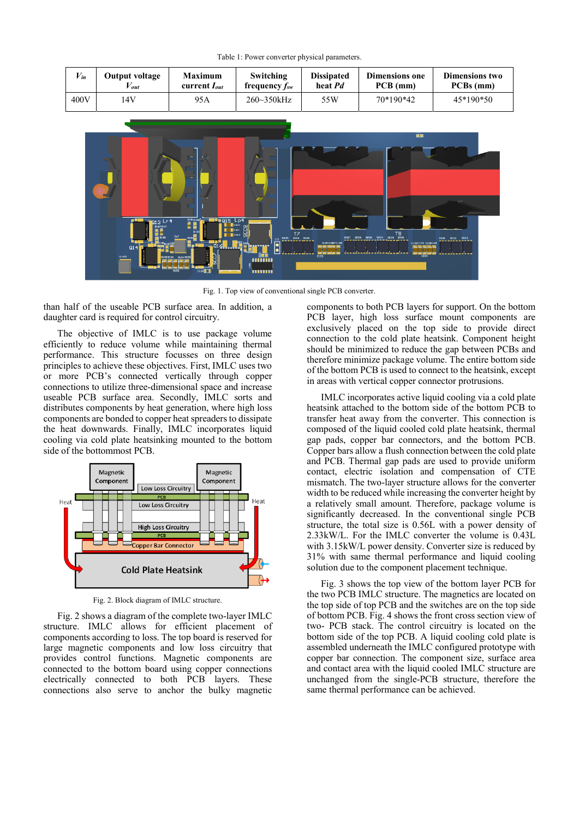Table 1: Power converter physical parameters.

| $V_{in}$ | Output voltage | <b>Maximum</b>    | Switching          | <b>Dissipated</b> | <b>Dimensions one</b> | Dimensions two |
|----------|----------------|-------------------|--------------------|-------------------|-----------------------|----------------|
|          | out /          | current $I_{out}$ | frequency $f_{sw}$ | heat Pd           | $PCB$ (mm)            | PCBs (mm)      |
| 400V     | .4V            | 95A               | $260 - 350$ kHz    | 55W               | 70*190*42             | 45*190*50      |



Fig. 1. Top view of conventional single PCB converter.

than half of the useable PCB surface area. In addition, a daughter card is required for control circuitry.

The objective of IMLC is to use package volume efficiently to reduce volume while maintaining thermal performance. This structure focusses on three design principles to achieve these objectives. First, IMLC uses two or more PCB's connected vertically through copper connections to utilize three-dimensional space and increase useable PCB surface area. Secondly, IMLC sorts and distributes components by heat generation, where high loss components are bonded to copper heat spreaders to dissipate the heat downwards. Finally, IMLC incorporates liquid cooling via cold plate heatsinking mounted to the bottom side of the bottommost PCB.



Fig. 2. Block diagram of IMLC structure.

Fig. 2 shows a diagram of the complete two-layer IMLC structure. IMLC allows for efficient placement of components according to loss. The top board is reserved for large magnetic components and low loss circuitry that provides control functions. Magnetic components are connected to the bottom board using copper connections electrically connected to both PCB layers. These connections also serve to anchor the bulky magnetic

components to both PCB layers for support. On the bottom PCB layer, high loss surface mount components are exclusively placed on the top side to provide direct connection to the cold plate heatsink. Component height should be minimized to reduce the gap between PCBs and therefore minimize package volume. The entire bottom side of the bottom PCB is used to connect to the heatsink, except in areas with vertical copper connector protrusions.

IMLC incorporates active liquid cooling via a cold plate heatsink attached to the bottom side of the bottom PCB to transfer heat away from the converter. This connection is composed of the liquid cooled cold plate heatsink, thermal gap pads, copper bar connectors, and the bottom PCB. Copper bars allow a flush connection between the cold plate and PCB. Thermal gap pads are used to provide uniform contact, electric isolation and compensation of CTE mismatch. The two-layer structure allows for the converter width to be reduced while increasing the converter height by a relatively small amount. Therefore, package volume is significantly decreased. In the conventional single PCB structure, the total size is 0.56L with a power density of 2.33kW/L. For the IMLC converter the volume is 0.43L with 3.15kW/L power density. Converter size is reduced by 31% with same thermal performance and liquid cooling solution due to the component placement technique.

Fig. 3 shows the top view of the bottom layer PCB for the two PCB IMLC structure. The magnetics are located on the top side of top PCB and the switches are on the top side of bottom PCB. Fig. 4 shows the front cross section view of two- PCB stack. The control circuitry is located on the bottom side of the top PCB. A liquid cooling cold plate is assembled underneath the IMLC configured prototype with copper bar connection. The component size, surface area and contact area with the liquid cooled IMLC structure are unchanged from the single-PCB structure, therefore the same thermal performance can be achieved.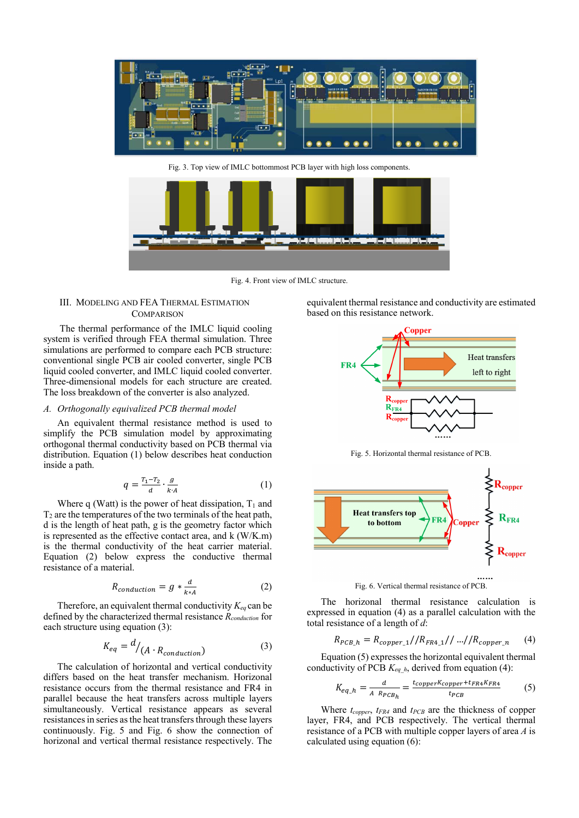



Fig. 4. Front view of IMLC structure.

## III. MODELING AND FEA THERMAL ESTIMATION **COMPARISON**

 The thermal performance of the IMLC liquid cooling system is verified through FEA thermal simulation. Three simulations are performed to compare each PCB structure: conventional single PCB air cooled converter, single PCB liquid cooled converter, and IMLC liquid cooled converter. Three-dimensional models for each structure are created. The loss breakdown of the converter is also analyzed.

# *A. Orthogonally equivalized PCB thermal model*

An equivalent thermal resistance method is used to simplify the PCB simulation model by approximating orthogonal thermal conductivity based on PCB thermal via distribution. Equation (1) below describes heat conduction inside a path.

$$
q = \frac{T_1 - T_2}{d} \cdot \frac{g}{k \cdot A} \tag{1}
$$

Where q (Watt) is the power of heat dissipation,  $T_1$  and  $T<sub>2</sub>$  are the temperatures of the two terminals of the heat path, d is the length of heat path, g is the geometry factor which is represented as the effective contact area, and k (W/K.m) is the thermal conductivity of the heat carrier material. Equation (2) below express the conductive thermal resistance of a material.

$$
R_{conduction} = g * \frac{d}{k * A} \tag{2}
$$

Therefore, an equivalent thermal conductivity  $K_{eq}$  can be defined by the characterized thermal resistance *Rconduction* for each structure using equation (3):

$$
K_{eq} = \frac{d}{A \cdot R_{conduction}} \tag{3}
$$

The calculation of horizontal and vertical conductivity differs based on the heat transfer mechanism. Horizonal resistance occurs from the thermal resistance and FR4 in parallel because the heat transfers across multiple layers simultaneously. Vertical resistance appears as several resistances in series as the heat transfers through these layers continuously. Fig. 5 and Fig. 6 show the connection of horizonal and vertical thermal resistance respectively. The equivalent thermal resistance and conductivity are estimated based on this resistance network.



Fig. 5. Horizontal thermal resistance of PCB.



Fig. 6. Vertical thermal resistance of PCB.

The horizonal thermal resistance calculation is expressed in equation (4) as a parallel calculation with the total resistance of a length of *d*:

$$
R_{PCB\_h} = R_{copper\_1} / / R_{FR4\_1} / / \ldots / / R_{copper\_n}
$$
 (4)

Equation (5) expresses the horizontal equivalent thermal conductivity of PCB  $K_{eq-h}$ , derived from equation (4):

$$
K_{eq\_h} = \frac{d}{A \ R_{PCB_h}} = \frac{t_{copper}K_{copper}+t_{FR4}K_{FR4}}{t_{PCB}} \tag{5}
$$

Where *t<sub>copper</sub>*, *tFR4* and *tPCB* are the thickness of copper layer, FR4, and PCB respectively. The vertical thermal resistance of a PCB with multiple copper layers of area *A* is calculated using equation (6):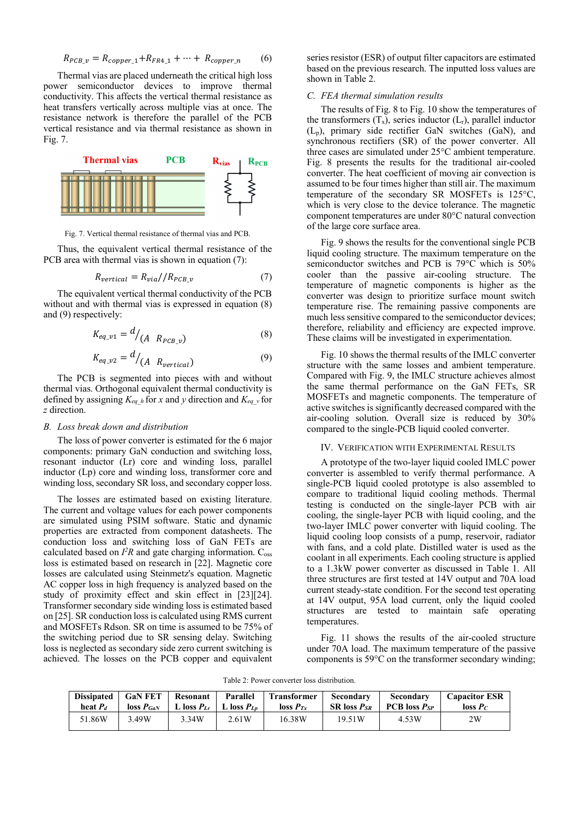$$
R_{PCB\_v} = R_{copper\_1} + R_{FR4\_1} + \dots + R_{copper\_n}
$$
 (6)

Thermal vias are placed underneath the critical high loss power semiconductor devices to improve thermal conductivity. This affects the vertical thermal resistance as heat transfers vertically across multiple vias at once. The resistance network is therefore the parallel of the PCB vertical resistance and via thermal resistance as shown in Fig. 7.



Fig. 7. Vertical thermal resistance of thermal vias and PCB.

Thus, the equivalent vertical thermal resistance of the PCB area with thermal vias is shown in equation (7):

$$
R_{vertical} = R_{via} / / R_{PCB_v}
$$
 (7)

The equivalent vertical thermal conductivity of the PCB without and with thermal vias is expressed in equation  $(8)$ and (9) respectively:

$$
K_{eq\_v1} = d / (A \ R_{PCB\_v}) \tag{8}
$$

$$
K_{eq\_v2} = d/_{(A \ R_{vertical})} \tag{9}
$$

The PCB is segmented into pieces with and without thermal vias. Orthogonal equivalent thermal conductivity is defined by assigning  $K_{eq}$  h for *x* and *y* direction and  $K_{eq}$  v for *z* direction.

#### *B. Loss break down and distribution*

The loss of power converter is estimated for the 6 major components: primary GaN conduction and switching loss, resonant inductor (Lr) core and winding loss, parallel inductor (Lp) core and winding loss, transformer core and winding loss, secondary SR loss, and secondary copper loss.

The losses are estimated based on existing literature. The current and voltage values for each power components are simulated using PSIM software. Static and dynamic properties are extracted from component datasheets. The conduction loss and switching loss of GaN FETs are calculated based on  $I^2R$  and gate charging information.  $C_{\text{oss}}$ loss is estimated based on research in [22]. Magnetic core losses are calculated using Steinmetz's equation. Magnetic AC copper loss in high frequency is analyzed based on the study of proximity effect and skin effect in [23][24]. Transformer secondary side winding loss is estimated based on [25]. SR conduction loss is calculated using RMS current and MOSFETs Rdson. SR on time is assumed to be 75% of the switching period due to SR sensing delay. Switching loss is neglected as secondary side zero current switching is achieved. The losses on the PCB copper and equivalent series resistor (ESR) of output filter capacitors are estimated based on the previous research. The inputted loss values are shown in Table 2.

## *C. FEA thermal simulation results*

The results of Fig. 8 to Fig. 10 show the temperatures of the transformers  $(T_x)$ , series inductor  $(L_r)$ , parallel inductor  $(L_p)$ , primary side rectifier GaN switches (GaN), and synchronous rectifiers (SR) of the power converter. All three cases are simulated under 25°C ambient temperature. Fig. 8 presents the results for the traditional air-cooled converter. The heat coefficient of moving air convection is assumed to be four times higher than still air. The maximum temperature of the secondary SR MOSFETs is 125°C, which is very close to the device tolerance. The magnetic component temperatures are under 80°C natural convection of the large core surface area.

Fig. 9 shows the results for the conventional single PCB liquid cooling structure. The maximum temperature on the semiconductor switches and PCB is 79°C which is 50% cooler than the passive air-cooling structure. The temperature of magnetic components is higher as the converter was design to prioritize surface mount switch temperature rise. The remaining passive components are much less sensitive compared to the semiconductor devices; therefore, reliability and efficiency are expected improve. These claims will be investigated in experimentation.

Fig. 10 shows the thermal results of the IMLC converter structure with the same losses and ambient temperature. Compared with Fig. 9, the IMLC structure achieves almost the same thermal performance on the GaN FETs, SR MOSFETs and magnetic components. The temperature of active switches is significantly decreased compared with the air-cooling solution. Overall size is reduced by 30% compared to the single-PCB liquid cooled converter.

#### IV. VERIFICATION WITH EXPERIMENTAL RESULTS

A prototype of the two-layer liquid cooled IMLC power converter is assembled to verify thermal performance. A single-PCB liquid cooled prototype is also assembled to compare to traditional liquid cooling methods. Thermal testing is conducted on the single-layer PCB with air cooling, the single-layer PCB with liquid cooling, and the two-layer IMLC power converter with liquid cooling. The liquid cooling loop consists of a pump, reservoir, radiator with fans, and a cold plate. Distilled water is used as the coolant in all experiments. Each cooling structure is applied to a 1.3kW power converter as discussed in Table 1. All three structures are first tested at 14V output and 70A load current steady-state condition. For the second test operating at 14V output, 95A load current, only the liquid cooled structures are tested to maintain safe operating temperatures.

Fig. 11 shows the results of the air-cooled structure under 70A load. The maximum temperature of the passive components is 59°C on the transformer secondary winding;

Table 2: Power converter loss distribution.

| <b>Dissipated</b> | <b>GaN FET</b> | Resonant                          | Parallel | <b>Transformer</b> | <b>Secondary</b>              | <b>Secondary</b>         | <b>Capacitor ESR</b> |
|-------------------|----------------|-----------------------------------|----------|--------------------|-------------------------------|--------------------------|----------------------|
| heat $P_d$        | $\log P_{GeV}$ | L loss $P_{Lr}$   L loss $P_{Lr}$ |          | $\log P_{Tr}$      | SR loss <i>P<sub>sr</sub></i> | <b>PCB</b> loss $P_{SP}$ | $\log P_C$           |
| 51.86W            | 3.49W          | 3.34W                             | 2.61W    | 16.38W             | 19.51W                        | 4.53W                    | 2W                   |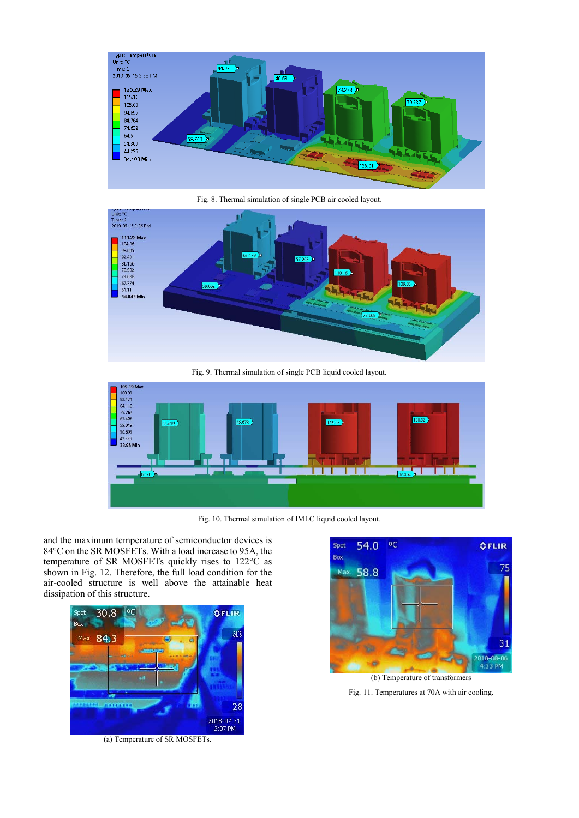

Fig. 8. Thermal simulation of single PCB air cooled layout.



Fig. 9. Thermal simulation of single PCB liquid cooled layout.



Fig. 10. Thermal simulation of IMLC liquid cooled layout.

and the maximum temperature of semiconductor devices is 84°C on the SR MOSFETs. With a load increase to 95A, the temperature of SR MOSFETs quickly rises to 122°C as shown in Fig. 12. Therefore, the full load condition for the air-cooled structure is well above the attainable heat dissipation of this structure.





Fig. 11. Temperatures at 70A with air cooling.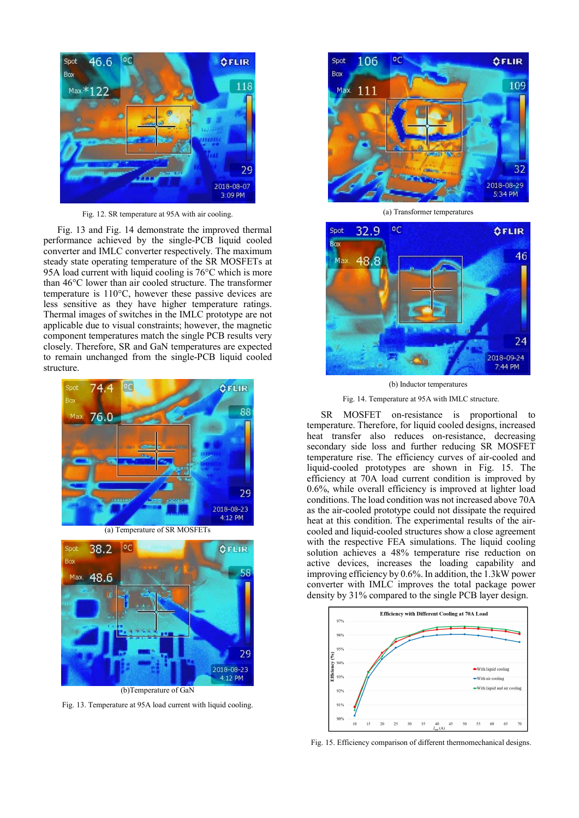

Fig. 12. SR temperature at 95A with air cooling.

Fig. 13 and Fig. 14 demonstrate the improved thermal performance achieved by the single-PCB liquid cooled converter and IMLC converter respectively. The maximum steady state operating temperature of the SR MOSFETs at 95A load current with liquid cooling is 76°C which is more than 46°C lower than air cooled structure. The transformer temperature is 110°C, however these passive devices are less sensitive as they have higher temperature ratings. Thermal images of switches in the IMLC prototype are not applicable due to visual constraints; however, the magnetic component temperatures match the single PCB results very closely. Therefore, SR and GaN temperatures are expected to remain unchanged from the single-PCB liquid cooled structure.





Fig. 13. Temperature at 95A load current with liquid cooling.



(a) Transformer temperatures



(b) Inductor temperatures

Fig. 14. Temperature at 95A with IMLC structure.

SR MOSFET on-resistance is proportional to temperature. Therefore, for liquid cooled designs, increased heat transfer also reduces on-resistance, decreasing secondary side loss and further reducing SR MOSFET temperature rise. The efficiency curves of air-cooled and liquid-cooled prototypes are shown in Fig. 15. The efficiency at 70A load current condition is improved by 0.6%, while overall efficiency is improved at lighter load conditions. The load condition was not increased above 70A as the air-cooled prototype could not dissipate the required heat at this condition. The experimental results of the aircooled and liquid-cooled structures show a close agreement with the respective FEA simulations. The liquid cooling solution achieves a 48% temperature rise reduction on active devices, increases the loading capability and improving efficiency by 0.6%. In addition, the 1.3kW power converter with IMLC improves the total package power density by 31% compared to the single PCB layer design.



Fig. 15. Efficiency comparison of different thermomechanical designs.